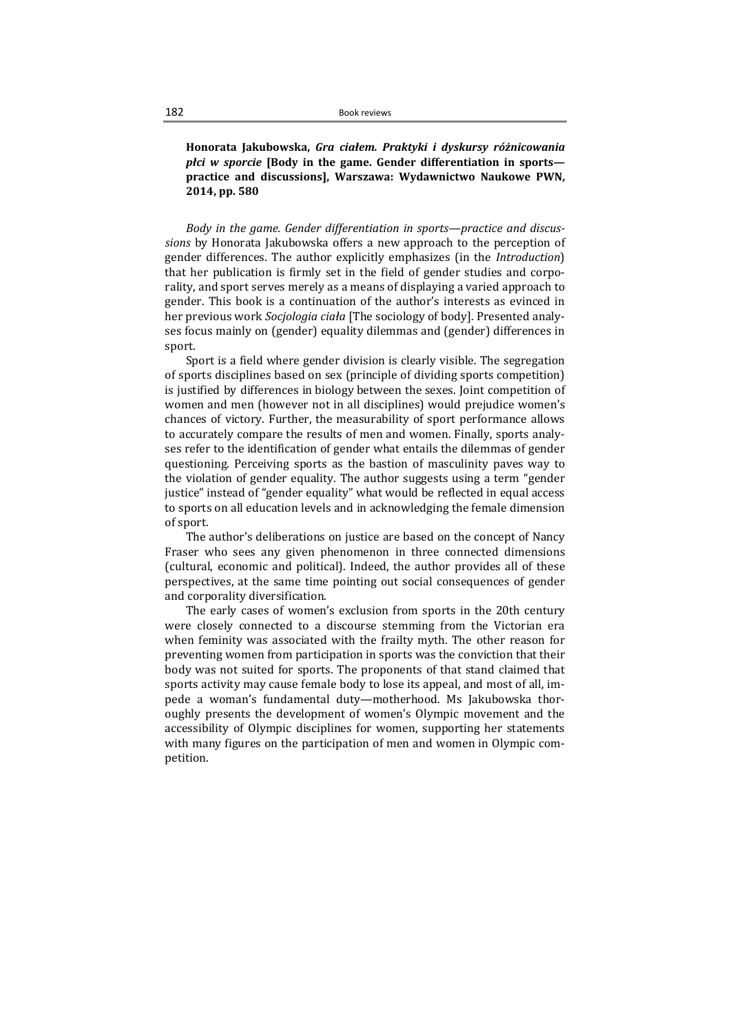Honorata Jakubowska, Gra ciałem. Praktyki i dyskursy różnicowania płci w sporcie [Body in the game. Gender differentiation in sports practice and discussions], Warszawa: Wydawnictwo Naukowe PWN, 2014, pp. 580

Body in the game. Gender differentiation in sports—practice and discussions by Honorata Jakubowska offers a new approach to the perception of gender differences. The author explicitly emphasizes (in the Introduction) that her publication is firmly set in the field of gender studies and corporality, and sport serves merely as a means of displaying a varied approach to gender. This book is a continuation of the author's interests as evinced in her previous work Socjologia ciała [The sociology of body]. Presented analyses focus mainly on (gender) equality dilemmas and (gender) differences in sport.

Sport is a field where gender division is clearly visible. The segregation of sports disciplines based on sex (principle of dividing sports competition) is justified by differences in biology between the sexes. Joint competition of women and men (however not in all disciplines) would prejudice women's chances of victory. Further, the measurability of sport performance allows to accurately compare the results of men and women. Finally, sports analyses refer to the identification of gender what entails the dilemmas of gender questioning. Perceiving sports as the bastion of masculinity paves way to the violation of gender equality. The author suggests using a term "gender justice" instead of "gender equality" what would be reflected in equal access to sports on all education levels and in acknowledging the female dimension of sport.

The author's deliberations on justice are based on the concept of Nancy Fraser who sees any given phenomenon in three connected dimensions (cultural, economic and political). Indeed, the author provides all of these perspectives, at the same time pointing out social consequences of gender and corporality diversification.

The early cases of women's exclusion from sports in the 20th century were closely connected to a discourse stemming from the Victorian era when feminity was associated with the frailty myth. The other reason for preventing women from participation in sports was the conviction that their body was not suited for sports. The proponents of that stand claimed that sports activity may cause female body to lose its appeal, and most of all, impede a woman's fundamental duty—motherhood. Ms Jakubowska thoroughly presents the development of women's Olympic movement and the accessibility of Olympic disciplines for women, supporting her statements with many figures on the participation of men and women in Olympic competition.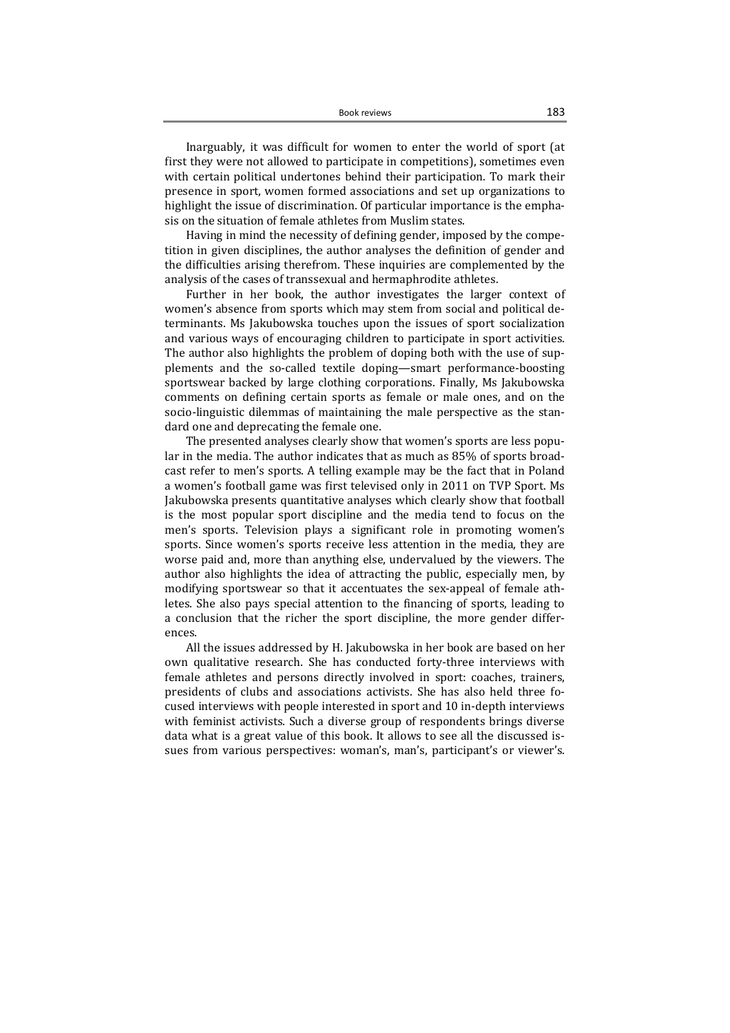Inarguably, it was difficult for women to enter the world of sport (at first they were not allowed to participate in competitions), sometimes even with certain political undertones behind their participation. To mark their presence in sport, women formed associations and set up organizations to highlight the issue of discrimination. Of particular importance is the emphasis on the situation of female athletes from Muslim states.

Having in mind the necessity of defining gender, imposed by the competition in given disciplines, the author analyses the definition of gender and the difficulties arising therefrom. These inquiries are complemented by the analysis of the cases of transsexual and hermaphrodite athletes.

Further in her book, the author investigates the larger context of women's absence from sports which may stem from social and political determinants. Ms Jakubowska touches upon the issues of sport socialization and various ways of encouraging children to participate in sport activities. The author also highlights the problem of doping both with the use of supplements and the so-called textile doping—smart performance-boosting sportswear backed by large clothing corporations. Finally, Ms Jakubowska comments on defining certain sports as female or male ones, and on the socio-linguistic dilemmas of maintaining the male perspective as the standard one and deprecating the female one.

The presented analyses clearly show that women's sports are less popular in the media. The author indicates that as much as 85% of sports broadcast refer to men's sports. A telling example may be the fact that in Poland a women's football game was first televised only in 2011 on TVP Sport. Ms Jakubowska presents quantitative analyses which clearly show that football is the most popular sport discipline and the media tend to focus on the men's sports. Television plays a significant role in promoting women's sports. Since women's sports receive less attention in the media, they are worse paid and, more than anything else, undervalued by the viewers. The author also highlights the idea of attracting the public, especially men, by modifying sportswear so that it accentuates the sex-appeal of female athletes. She also pays special attention to the financing of sports, leading to a conclusion that the richer the sport discipline, the more gender differences.

All the issues addressed by H. Jakubowska in her book are based on her own qualitative research. She has conducted forty-three interviews with female athletes and persons directly involved in sport: coaches, trainers, presidents of clubs and associations activists. She has also held three focused interviews with people interested in sport and 10 in-depth interviews with feminist activists. Such a diverse group of respondents brings diverse data what is a great value of this book. It allows to see all the discussed issues from various perspectives: woman's, man's, participant's or viewer's.